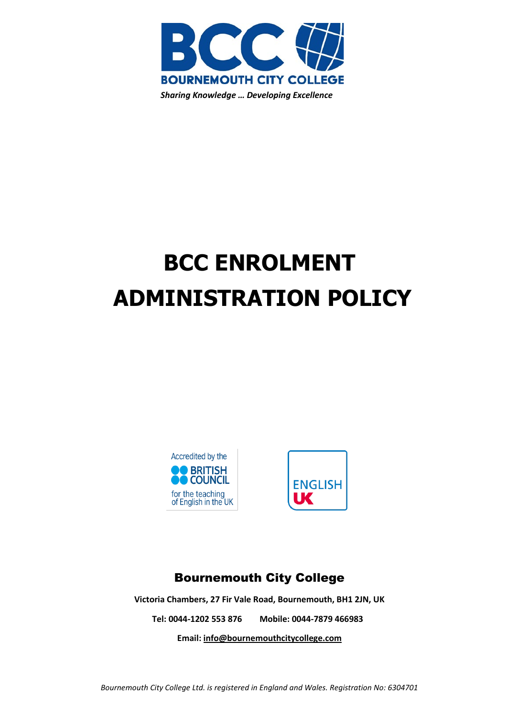

# **BCC ENROLMENT ADMINISTRATION POLICY**





## Bournemouth City College

**Victoria Chambers, 27 Fir Vale Road, Bournemouth, BH1 2JN, UK Tel: 0044-1202 553 876 Mobile: 0044-7879 466983 Email: [info@bournemouthcitycollege.com](mailto:info@bournemouthcitycollege.com)**

*Bournemouth City College Ltd. is registered in England and Wales. Registration No: 6304701*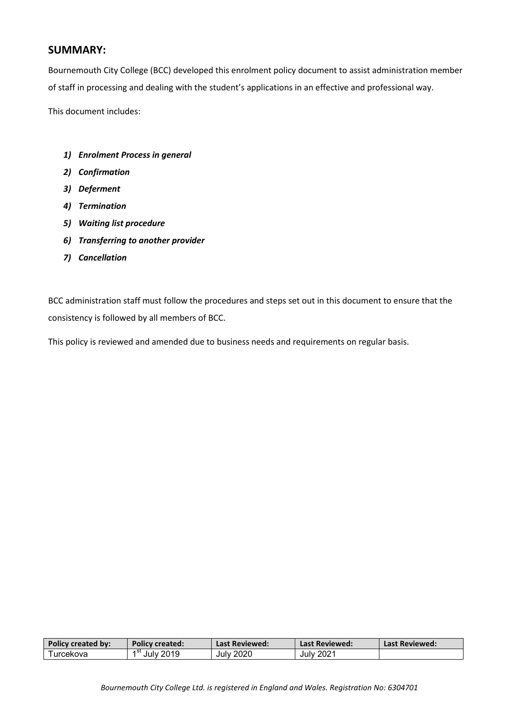## **SUMMARY:**

Bournemouth City College (BCC) developed this enrolment policy document to assist administration member of staff in processing and dealing with the student's applications in an effective and professional way.

This document includes:

- *1) Enrolment Process in general*
- *2) Confirmation*
- *3) Deferment*
- *4) Termination*
- *5) Waiting list procedure*
- *6) Transferring to another provider*
- *7) Cancellation*

BCC administration staff must follow the procedures and steps set out in this document to ensure that the consistency is followed by all members of BCC.

This policy is reviewed and amended due to business needs and requirements on regular basis.

| Policy created by: | Policy created: \ | Last Reviewed: | Last Reviewed: | Last Reviewed: |
|--------------------|-------------------|----------------|----------------|----------------|
| Turcekova          | July 2019         | July 2020      | July 2021      |                |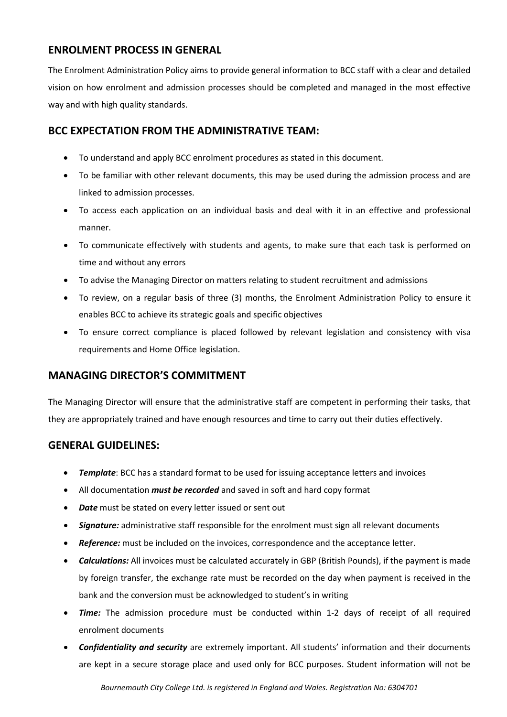## **ENROLMENT PROCESS IN GENERAL**

The Enrolment Administration Policy aims to provide general information to BCC staff with a clear and detailed vision on how enrolment and admission processes should be completed and managed in the most effective way and with high quality standards.

## **BCC EXPECTATION FROM THE ADMINISTRATIVE TEAM:**

- To understand and apply BCC enrolment procedures as stated in this document.
- To be familiar with other relevant documents, this may be used during the admission process and are linked to admission processes.
- To access each application on an individual basis and deal with it in an effective and professional manner.
- To communicate effectively with students and agents, to make sure that each task is performed on time and without any errors
- To advise the Managing Director on matters relating to student recruitment and admissions
- To review, on a regular basis of three (3) months, the Enrolment Administration Policy to ensure it enables BCC to achieve its strategic goals and specific objectives
- To ensure correct compliance is placed followed by relevant legislation and consistency with visa requirements and Home Office legislation.

## **MANAGING DIRECTOR'S COMMITMENT**

The Managing Director will ensure that the administrative staff are competent in performing their tasks, that they are appropriately trained and have enough resources and time to carry out their duties effectively.

## **GENERAL GUIDELINES:**

- **Template**: BCC has a standard format to be used for issuing acceptance letters and invoices
- All documentation *must be recorded* and saved in soft and hard copy format
- *Date* must be stated on every letter issued or sent out
- *Signature:* administrative staff responsible for the enrolment must sign all relevant documents
- *Reference:* must be included on the invoices, correspondence and the acceptance letter.
- *Calculations:* All invoices must be calculated accurately in GBP (British Pounds), if the payment is made by foreign transfer, the exchange rate must be recorded on the day when payment is received in the bank and the conversion must be acknowledged to student's in writing
- *Time:* The admission procedure must be conducted within 1-2 days of receipt of all required enrolment documents
- *Confidentiality and security* are extremely important. All students' information and their documents are kept in a secure storage place and used only for BCC purposes. Student information will not be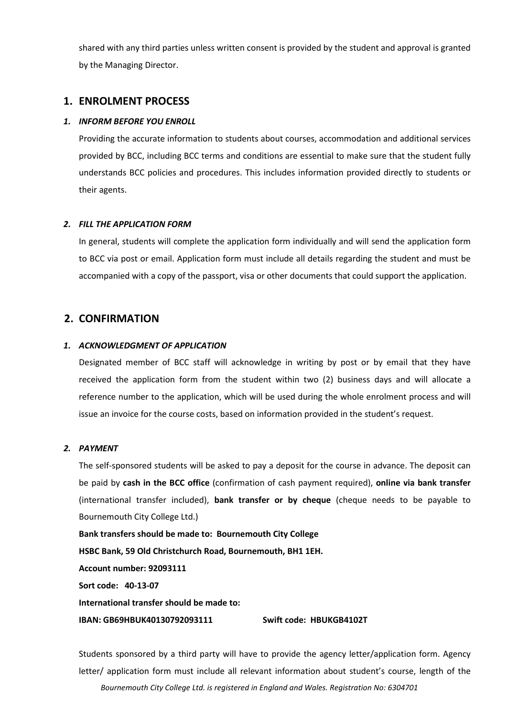shared with any third parties unless written consent is provided by the student and approval is granted by the Managing Director.

#### **1. ENROLMENT PROCESS**

#### *1. INFORM BEFORE YOU ENROLL*

Providing the accurate information to students about courses, accommodation and additional services provided by BCC, including BCC terms and conditions are essential to make sure that the student fully understands BCC policies and procedures. This includes information provided directly to students or their agents.

#### *2. FILL THE APPLICATION FORM*

In general, students will complete the application form individually and will send the application form to BCC via post or email. Application form must include all details regarding the student and must be accompanied with a copy of the passport, visa or other documents that could support the application.

### **2. CONFIRMATION**

#### *1. ACKNOWLEDGMENT OF APPLICATION*

Designated member of BCC staff will acknowledge in writing by post or by email that they have received the application form from the student within two (2) business days and will allocate a reference number to the application, which will be used during the whole enrolment process and will issue an invoice for the course costs, based on information provided in the student's request.

#### *2. PAYMENT*

The self-sponsored students will be asked to pay a deposit for the course in advance. The deposit can be paid by **cash in the BCC office** (confirmation of cash payment required), **online via bank transfer** (international transfer included), **bank transfer or by cheque** (cheque needs to be payable to Bournemouth City College Ltd.)

**Bank transfers should be made to: Bournemouth City College HSBC Bank, 59 Old Christchurch Road, Bournemouth, BH1 1EH.**

**Account number: 92093111**

**Sort code: 40-13-07**

**International transfer should be made to:**

**IBAN: GB69HBUK40130792093111 Swift code: HBUKGB4102T**

*Bournemouth City College Ltd. is registered in England and Wales. Registration No: 6304701* Students sponsored by a third party will have to provide the agency letter/application form. Agency letter/ application form must include all relevant information about student's course, length of the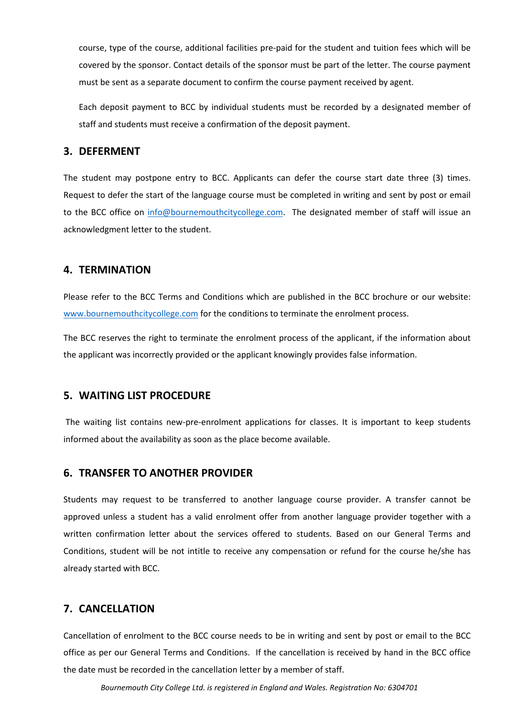course, type of the course, additional facilities pre-paid for the student and tuition fees which will be covered by the sponsor. Contact details of the sponsor must be part of the letter. The course payment must be sent as a separate document to confirm the course payment received by agent.

Each deposit payment to BCC by individual students must be recorded by a designated member of staff and students must receive a confirmation of the deposit payment.

#### **3. DEFERMENT**

The student may postpone entry to BCC. Applicants can defer the course start date three (3) times. Request to defer the start of the language course must be completed in writing and sent by post or email to the BCC office on [info@bournemouthcitycollege.com.](mailto:info@bournemouthcitycollege.com) The designated member of staff will issue an acknowledgment letter to the student.

#### **4. TERMINATION**

Please refer to the BCC Terms and Conditions which are published in the BCC brochure or our website: [www.bournemouthcitycollege.com](http://www.bournemouthcitycollege.com/) for the conditions to terminate the enrolment process.

The BCC reserves the right to terminate the enrolment process of the applicant, if the information about the applicant was incorrectly provided or the applicant knowingly provides false information.

#### **5. WAITING LIST PROCEDURE**

The waiting list contains new-pre-enrolment applications for classes. It is important to keep students informed about the availability as soon as the place become available.

#### **6. TRANSFER TO ANOTHER PROVIDER**

Students may request to be transferred to another language course provider. A transfer cannot be approved unless a student has a valid enrolment offer from another language provider together with a written confirmation letter about the services offered to students. Based on our General Terms and Conditions, student will be not intitle to receive any compensation or refund for the course he/she has already started with BCC.

#### **7. CANCELLATION**

Cancellation of enrolment to the BCC course needs to be in writing and sent by post or email to the BCC office as per our General Terms and Conditions. If the cancellation is received by hand in the BCC office the date must be recorded in the cancellation letter by a member of staff.